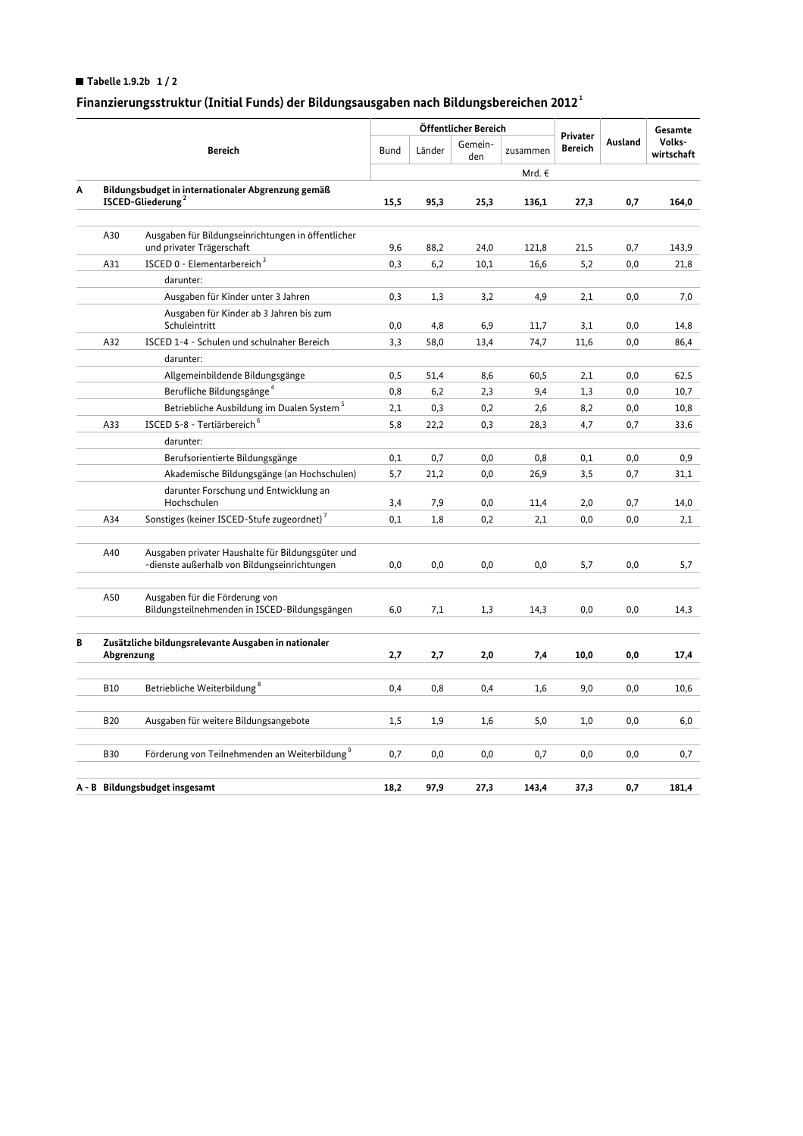## Tabelle 1.9.2b  $1/2$

## Finanzierungsstruktur (Initial Funds) der Bildungsausgaben nach Bildungsbereichen 2012<sup>1</sup>

|                                |                                                                                     |                                                                                                   |             | Öffentlicher Bereich |                |          |                            |         | Gesamte              |
|--------------------------------|-------------------------------------------------------------------------------------|---------------------------------------------------------------------------------------------------|-------------|----------------------|----------------|----------|----------------------------|---------|----------------------|
|                                | <b>Bereich</b>                                                                      |                                                                                                   | <b>Bund</b> | Länder               | Gemein-<br>den | zusammen | Privater<br><b>Bereich</b> | Ausland | Volks-<br>wirtschaft |
|                                |                                                                                     |                                                                                                   |             |                      |                | Mrd. €   |                            |         |                      |
| Α                              | Bildungsbudget in internationaler Abgrenzung gemäß<br>ISCED-Gliederung <sup>2</sup> |                                                                                                   | 15,5        | 95,3                 | 25,3           | 136,1    | 27,3                       | 0,7     | 164,0                |
|                                |                                                                                     |                                                                                                   |             |                      |                |          |                            |         |                      |
|                                | A30                                                                                 | Ausgaben für Bildungseinrichtungen in öffentlicher<br>und privater Trägerschaft                   | 9,6         | 88,2                 | 24,0           | 121,8    | 21,5                       | 0,7     | 143,9                |
|                                | A31                                                                                 | ISCED 0 - Elementarbereich <sup>3</sup>                                                           | 0,3         | 6,2                  | 10,1           | 16,6     | 5,2                        | 0,0     | 21,8                 |
|                                |                                                                                     | darunter:                                                                                         |             |                      |                |          |                            |         |                      |
|                                |                                                                                     | Ausgaben für Kinder unter 3 Jahren                                                                | 0,3         | 1,3                  | 3,2            | 4,9      | 2,1                        | 0,0     | 7,0                  |
|                                |                                                                                     | Ausgaben für Kinder ab 3 Jahren bis zum<br>Schuleintritt                                          | 0,0         | 4,8                  | 6,9            | 11,7     | 3,1                        | 0,0     | 14,8                 |
|                                | A32                                                                                 | ISCED 1-4 - Schulen und schulnaher Bereich                                                        | 3,3         | 58,0                 | 13,4           | 74,7     | 11,6                       | 0,0     | 86,4                 |
|                                |                                                                                     | darunter:                                                                                         |             |                      |                |          |                            |         |                      |
|                                |                                                                                     | Allgemeinbildende Bildungsgänge                                                                   | 0,5         | 51,4                 | 8,6            | 60,5     | 2,1                        | 0,0     | 62,5                 |
|                                |                                                                                     | Berufliche Bildungsgänge <sup>4</sup>                                                             | 0,8         | 6,2                  | 2,3            | 9,4      | 1,3                        | 0,0     | 10,7                 |
|                                |                                                                                     | Betriebliche Ausbildung im Dualen System <sup>5</sup>                                             | 2,1         | 0,3                  | 0,2            | 2,6      | 8,2                        | 0,0     | 10,8                 |
|                                | A33                                                                                 | ISCED 5-8 - Tertiärbereich <sup>6</sup>                                                           | 5,8         | 22,2                 | 0,3            | 28,3     | 4,7                        | 0,7     | 33,6                 |
|                                |                                                                                     | darunter:                                                                                         |             |                      |                |          |                            |         |                      |
|                                |                                                                                     | Berufsorientierte Bildungsgänge                                                                   | 0,1         | 0,7                  | 0,0            | 0,8      | 0,1                        | 0,0     | 0,9                  |
|                                |                                                                                     | Akademische Bildungsgänge (an Hochschulen)                                                        | 5,7         | 21,2                 | 0,0            | 26,9     | 3,5                        | 0,7     | 31,1                 |
|                                |                                                                                     | darunter Forschung und Entwicklung an                                                             |             |                      |                |          |                            |         |                      |
|                                |                                                                                     | Hochschulen                                                                                       | 3,4         | 7,9                  | 0,0            | 11,4     | 2,0                        | 0,7     | 14,0                 |
|                                | A34                                                                                 | Sonstiges (keiner ISCED-Stufe zugeordnet) <sup>7</sup>                                            | 0,1         | 1,8                  | 0,2            | 2,1      | 0,0                        | 0,0     | 2,1                  |
|                                | A40                                                                                 | Ausgaben privater Haushalte für Bildungsgüter und<br>-dienste außerhalb von Bildungseinrichtungen | $_{0,0}$    | 0,0                  | 0,0            | 0,0      | 5,7                        | 0,0     | 5,7                  |
|                                | A50                                                                                 | Ausgaben für die Förderung von<br>Bildungsteilnehmenden in ISCED-Bildungsgängen                   | 6,0         | 7,1                  | 1,3            | 14,3     | 0,0                        | 0,0     | 14,3                 |
| В                              | Zusätzliche bildungsrelevante Ausgaben in nationaler<br>Abgrenzung                  |                                                                                                   | 2,7         | 2,7                  | 2,0            | 7,4      | 10,0                       | 0,0     | 17,4                 |
|                                |                                                                                     |                                                                                                   |             |                      |                |          |                            |         |                      |
|                                | <b>B10</b>                                                                          | Betriebliche Weiterbildung <sup>8</sup>                                                           | 0,4         | 0,8                  | 0,4            | 1,6      | 9,0                        | 0,0     | 10,6                 |
|                                | <b>B20</b>                                                                          | Ausgaben für weitere Bildungsangebote                                                             | 1,5         | 1,9                  | 1,6            | 5,0      | 1,0                        | 0,0     | 6,0                  |
|                                | <b>B30</b>                                                                          | Förderung von Teilnehmenden an Weiterbildung <sup>9</sup>                                         | 0,7         | 0,0                  | 0,0            | 0,7      | 0,0                        | 0,0     | 0,7                  |
|                                |                                                                                     |                                                                                                   |             |                      |                |          |                            |         |                      |
| A - B Bildungsbudget insgesamt |                                                                                     |                                                                                                   | 18,2        | 97,9                 | 27,3           | 143.4    | 37,3                       | 0,7     | 181,4                |